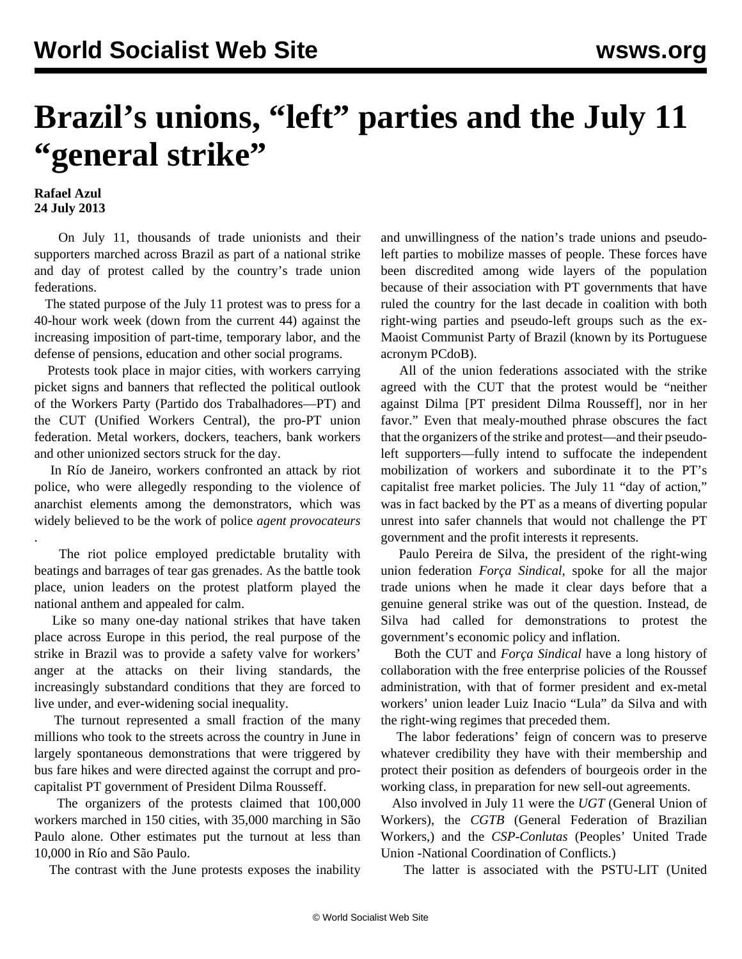## **Brazil's unions, "left" parties and the July 11 "general strike"**

## **Rafael Azul 24 July 2013**

.

 On July 11, thousands of trade unionists and their supporters marched across Brazil as part of a national strike and day of protest called by the country's trade union federations.

 The stated purpose of the July 11 protest was to press for a 40-hour work week (down from the current 44) against the increasing imposition of part-time, temporary labor, and the defense of pensions, education and other social programs.

 Protests took place in major cities, with workers carrying picket signs and banners that reflected the political outlook of the Workers Party (Partido dos Trabalhadores—PT) and the CUT (Unified Workers Central), the pro-PT union federation. Metal workers, dockers, teachers, bank workers and other unionized sectors struck for the day.

 In Río de Janeiro, workers confronted an attack by riot police, who were allegedly responding to the violence of anarchist elements among the demonstrators, which was widely believed to be the work of police *agent provocateurs*

 The riot police employed predictable brutality with beatings and barrages of tear gas grenades. As the battle took place, union leaders on the protest platform played the national anthem and appealed for calm.

 Like so many one-day national strikes that have taken place across Europe in this period, the real purpose of the strike in Brazil was to provide a safety valve for workers' anger at the attacks on their living standards, the increasingly substandard conditions that they are forced to live under, and ever-widening social inequality.

 The turnout represented a small fraction of the many millions who took to the streets across the country in June in largely spontaneous demonstrations that were triggered by bus fare hikes and were directed against the corrupt and procapitalist PT government of President Dilma Rousseff.

 The organizers of the protests claimed that 100,000 workers marched in 150 cities, with 35,000 marching in São Paulo alone. Other estimates put the turnout at less than 10,000 in Río and São Paulo.

The contrast with the June protests exposes the inability

and unwillingness of the nation's trade unions and pseudoleft parties to mobilize masses of people. These forces have been discredited among wide layers of the population because of their association with PT governments that have ruled the country for the last decade in coalition with both right-wing parties and pseudo-left groups such as the ex-Maoist Communist Party of Brazil (known by its Portuguese acronym PCdoB).

 All of the union federations associated with the strike agreed with the CUT that the protest would be "neither against Dilma [PT president Dilma Rousseff], nor in her favor." Even that mealy-mouthed phrase obscures the fact that the organizers of the strike and protest—and their pseudoleft supporters—fully intend to suffocate the independent mobilization of workers and subordinate it to the PT's capitalist free market policies. The July 11 "day of action," was in fact backed by the PT as a means of diverting popular unrest into safer channels that would not challenge the PT government and the profit interests it represents.

 Paulo Pereira de Silva, the president of the right-wing union federation *Força Sindical*, spoke for all the major trade unions when he made it clear days before that a genuine general strike was out of the question. Instead, de Silva had called for demonstrations to protest the government's economic policy and inflation.

 Both the CUT and *Força Sindical* have a long history of collaboration with the free enterprise policies of the Roussef administration, with that of former president and ex-metal workers' union leader Luiz Inacio "Lula" da Silva and with the right-wing regimes that preceded them.

 The labor federations' feign of concern was to preserve whatever credibility they have with their membership and protect their position as defenders of bourgeois order in the working class, in preparation for new sell-out agreements.

 Also involved in July 11 were the *UGT* (General Union of Workers), the *CGTB* (General Federation of Brazilian Workers,) and the *CSP-Conlutas* (Peoples' United Trade Union -National Coordination of Conflicts.)

The latter is associated with the PSTU-LIT (United